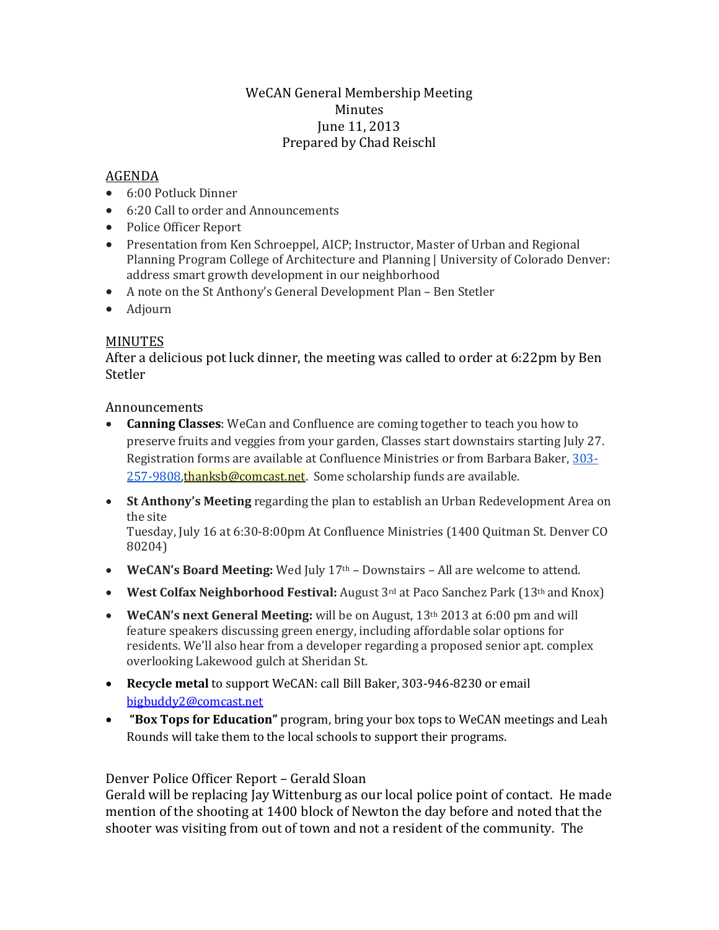## WeCAN General Membership Meeting Minutes June 11, 2013 Prepared by Chad Reischl

## AGENDA

- 6:00 Potluck Dinner
- 6:20 Call to order and Announcements
- Police Officer Report
- Presentation from Ken Schroeppel, AICP; Instructor, Master of Urban and Regional Planning Program College of Architecture and Planning | University of Colorado Denver: address smart growth development in our neighborhood
- A note on the St Anthony's General Development Plan Ben Stetler
- Adjourn

## MINUTES

After a delicious pot luck dinner, the meeting was called to order at 6:22pm by Ben **Stetler** 

**Announcements** 

- **Canning Classes**: WeCan and Confluence are coming together to teach you how to preserve fruits and veggies from your garden, Classes start downstairs starting July 27. Registration forms are available at Confluence Ministries or from Barbara Baker, [303-](tel:303-257-9808) [257-9808,](tel:303-257-9808) [thanksb@comcast.net.](mailto:thanksb@comcast.net) Some scholarship funds are available.
- **St Anthony's Meeting** regarding the plan to establish an Urban Redevelopment Area on the site

Tuesday, July 16 at 6:30-8:00pm At Confluence Ministries (1400 Quitman St. Denver CO 80204)

- **WeCAN's Board Meeting:** Wed July 17th Downstairs All are welcome to attend.
- **West Colfax Neighborhood Festival:** August 3<sup>rd</sup> at Paco Sanchez Park (13<sup>th</sup> and Knox)
- **WeCAN's next General Meeting:** will be on August, 13th 2013 at 6:00 pm and will feature speakers discussing green energy, including affordable solar options for residents. We'll also hear from a developer regarding a proposed senior apt. complex overlooking Lakewood gulch at Sheridan St.
- **Recycle metal** to support WeCAN: call Bill Baker, 303-946-8230 or email [bigbuddy2@comcast.net](mailto:bigbuddy2@comcast.net)
- **"Box Tops for Education"** program, bring your box tops to WeCAN meetings and Leah Rounds will take them to the local schools to support their programs.

## Denver Police Officer Report – Gerald Sloan

Gerald will be replacing Jay Wittenburg as our local police point of contact. He made mention of the shooting at 1400 block of Newton the day before and noted that the shooter was visiting from out of town and not a resident of the community. The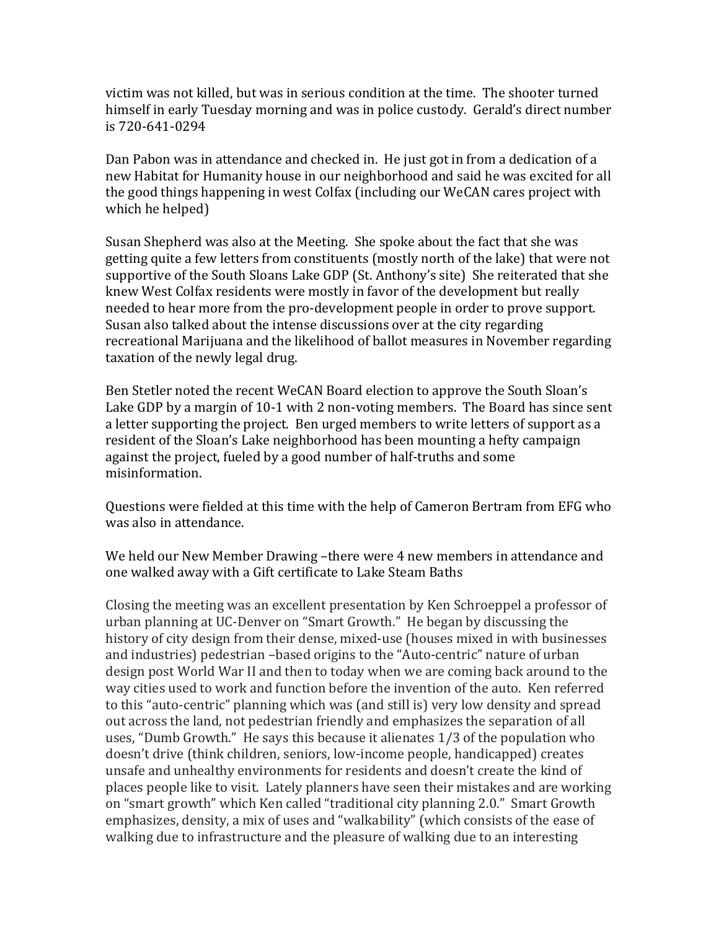victim was not killed, but was in serious condition at the time. The shooter turned himself in early Tuesday morning and was in police custody. Gerald's direct number is 720-641-0294

Dan Pabon was in attendance and checked in. He just got in from a dedication of a new Habitat for Humanity house in our neighborhood and said he was excited for all the good things happening in west Colfax (including our WeCAN cares project with which he helped)

Susan Shepherd was also at the Meeting. She spoke about the fact that she was getting quite a few letters from constituents (mostly north of the lake) that were not supportive of the South Sloans Lake GDP (St. Anthony's site) She reiterated that she knew West Colfax residents were mostly in favor of the development but really needed to hear more from the pro-development people in order to prove support. Susan also talked about the intense discussions over at the city regarding recreational Marijuana and the likelihood of ballot measures in November regarding taxation of the newly legal drug.

Ben Stetler noted the recent WeCAN Board election to approve the South Sloan's Lake GDP by a margin of 10-1 with 2 non-voting members. The Board has since sent a letter supporting the project. Ben urged members to write letters of support as a resident of the Sloan's Lake neighborhood has been mounting a hefty campaign against the project, fueled by a good number of half-truths and some misinformation.

Questions were fielded at this time with the help of Cameron Bertram from EFG who was also in attendance.

We held our New Member Drawing –there were 4 new members in attendance and one walked away with a Gift certificate to Lake Steam Baths

Closing the meeting was an excellent presentation by Ken Schroeppel a professor of urban planning at UC-Denver on "Smart Growth." He began by discussing the history of city design from their dense, mixed-use (houses mixed in with businesses and industries) pedestrian –based origins to the "Auto-centric" nature of urban design post World War II and then to today when we are coming back around to the way cities used to work and function before the invention of the auto. Ken referred to this "auto-centric" planning which was (and still is) very low density and spread out across the land, not pedestrian friendly and emphasizes the separation of all uses, "Dumb Growth." He says this because it alienates 1/3 of the population who doesn't drive (think children, seniors, low-income people, handicapped) creates unsafe and unhealthy environments for residents and doesn't create the kind of places people like to visit. Lately planners have seen their mistakes and are working on "smart growth" which Ken called "traditional city planning 2.0." Smart Growth emphasizes, density, a mix of uses and "walkability" (which consists of the ease of walking due to infrastructure and the pleasure of walking due to an interesting